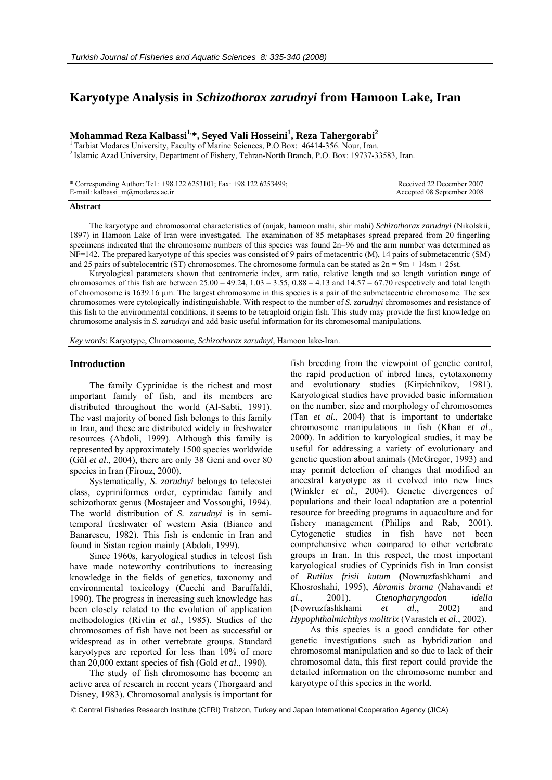# **Karyotype Analysis in** *Schizothorax zarudnyi* **from Hamoon Lake, Iran**

# **Mohammad Reza Kalbassi1,\*, Seyed Vali Hosseini1 , Reza Tahergorabi2**

<sup>1</sup> Tarbiat Modares University, Faculty of Marine Sciences, P.O.Box: 46414-356. Nour, Iran. <sup>2</sup> Islamic Azad University, Department of Fishery, Tehran-North Branch, P.O. Box: 19737-33583, Iran.

| * Corresponding Author: Tel.: +98.122 6253101; Fax: +98.122 6253499; | Received 22 December 2007  |
|----------------------------------------------------------------------|----------------------------|
| E-mail: kalbassi_m@modares.ac.ir                                     | Accepted 08 September 2008 |

#### **Abstract**

The karyotype and chromosomal characteristics of (anjak, hamoon mahi, shir mahi) *Schizothorax zarudnyi* (Nikolskii, 1897) in Hamoon Lake of Iran were investigated. The examination of 85 metaphases spread prepared from 20 fingerling specimens indicated that the chromosome numbers of this species was found 2n=96 and the arm number was determined as NF=142. The prepared karyotype of this species was consisted of 9 pairs of metacentric (M), 14 pairs of submetacentric (SM) and 25 pairs of subtelocentric (ST) chromosomes. The chromosome formula can be stated as  $2n = 9m + 14sm + 25st$ .

Karyological parameters shown that centromeric index, arm ratio, relative length and so length variation range of chromosomes of this fish are between  $25.00 - 49.24$ ,  $1.03 - 3.55$ ,  $0.88 - 4.13$  and  $14.57 - 67.70$  respectively and total length of chromosome is 1639.16 µm. The largest chromosome in this species is a pair of the submetacentric chromosome. The sex chromosomes were cytologically indistinguishable. With respect to the number of *S. zarudnyi* chromosomes and resistance of this fish to the environmental conditions, it seems to be tetraploid origin fish. This study may provide the first knowledge on chromosome analysis in *S. zarudnyi* and add basic useful information for its chromosomal manipulations.

*Key words*: Karyotype, Chromosome, *Schizothorax zarudnyi,* Hamoon lake-Iran.

# **Introduction**

The family Cyprinidae is the richest and most important family of fish, and its members are distributed throughout the world (Al-Sabti, 1991). The vast majority of boned fish belongs to this family in Iran, and these are distributed widely in freshwater resources (Abdoli, 1999). Although this family is represented by approximately 1500 species worldwide (Gül *et al*., 2004), there are only 38 Geni and over 80 species in Iran (Firouz, 2000).

Systematically, *S. zarudnyi* belongs to teleostei class, cypriniformes order, cyprinidae family and schizothorax genus (Mostajeer and Vossoughi, 1994). The world distribution of *S. zarudnyi* is in semitemporal freshwater of western Asia (Bianco and Banarescu, 1982). This fish is endemic in Iran and found in Sistan region mainly (Abdoli, 1999).

Since 1960s, karyological studies in teleost fish have made noteworthy contributions to increasing knowledge in the fields of genetics, taxonomy and environmental toxicology (Cucchi and Baruffaldi, 1990). The progress in increasing such knowledge has been closely related to the evolution of application methodologies (Rivlin *et al*., 1985). Studies of the chromosomes of fish have not been as successful or widespread as in other vertebrate groups. Standard karyotypes are reported for less than 10% of more than 20,000 extant species of fish (Gold *et al*., 1990).

The study of fish chromosome has become an active area of research in recent years (Thorgaard and Disney, 1983). Chromosomal analysis is important for

fish breeding from the viewpoint of genetic control, the rapid production of inbred lines, cytotaxonomy and evolutionary studies (Kirpichnikov, 1981). Karyological studies have provided basic information on the number, size and morphology of chromosomes (Tan *et al*., 2004) that is important to undertake chromosome manipulations in fish (Khan *et al*., 2000). In addition to karyological studies, it may be useful for addressing a variety of evolutionary and genetic question about animals (McGregor, 1993) and may permit detection of changes that modified an ancestral karyotype as it evolved into new lines (Winkler *et al*., 2004). Genetic divergences of populations and their local adaptation are a potential resource for breeding programs in aquaculture and for fishery management (Philips and Rab, 2001). Cytogenetic studies in fish have not been comprehensive when compared to other vertebrate groups in Iran. In this respect, the most important karyological studies of Cyprinids fish in Iran consist of *Rutilus frisii kutum* **(**Nowruzfashkhami and Khosroshahi, 1995), *Abramis brama* (Nahavandi *et al*., 2001), *Ctenopharyngodon idella* (Nowruzfashkhami *et al*., 2002) and *Hypophthalmichthys molitrix* (Varasteh *et al*., 2002).

As this species is a good candidate for other genetic investigations such as hybridization and chromosomal manipulation and so due to lack of their chromosomal data, this first report could provide the detailed information on the chromosome number and karyotype of this species in the world.

© Central Fisheries Research Institute (CFRI) Trabzon, Turkey and Japan International Cooperation Agency (JICA)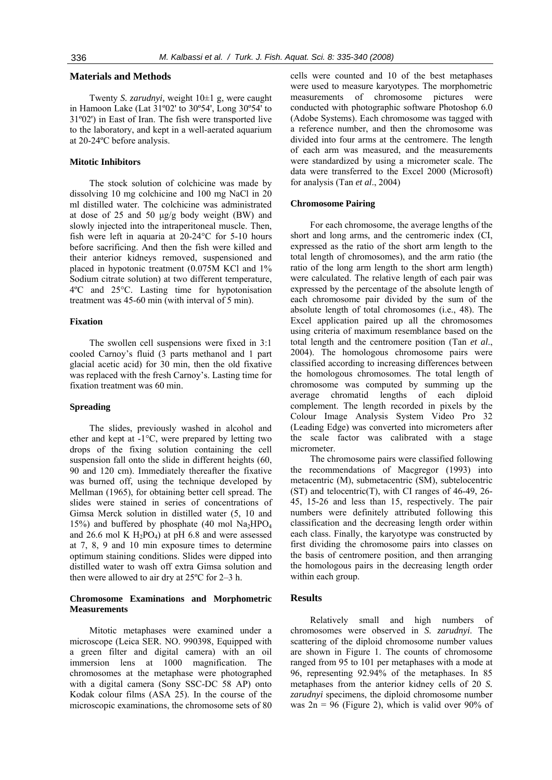# **Materials and Methods**

Twenty *S. zarudnyi,* weight 10±1 g, were caught in Hamoon Lake (Lat 31º02' to 30º54', Long 30º54' to 31º02') in East of Iran. The fish were transported live to the laboratory, and kept in a well-aerated aquarium at 20-24ºC before analysis.

### **Mitotic Inhibitors**

The stock solution of colchicine was made by dissolving 10 mg colchicine and 100 mg NaCl in 20 ml distilled water. The colchicine was administrated at dose of 25 and 50 μg/g body weight (BW) and slowly injected into the intraperitoneal muscle. Then, fish were left in aquaria at 20-24°C for 5-10 hours before sacrificing. And then the fish were killed and their anterior kidneys removed, suspensioned and placed in hypotonic treatment (0.075M KCl and 1% Sodium citrate solution) at two different temperature, 4ºC and 25°C. Lasting time for hypotonisation treatment was 45-60 min (with interval of 5 min).

### **Fixation**

The swollen cell suspensions were fixed in 3:1 cooled Carnoy's fluid (3 parts methanol and 1 part glacial acetic acid) for 30 min, then the old fixative was replaced with the fresh Carnoy's. Lasting time for fixation treatment was 60 min.

## **Spreading**

The slides, previously washed in alcohol and ether and kept at -1°C, were prepared by letting two drops of the fixing solution containing the cell suspension fall onto the slide in different heights (60, 90 and 120 cm). Immediately thereafter the fixative was burned off, using the technique developed by Mellman (1965), for obtaining better cell spread. The slides were stained in series of concentrations of Gimsa Merck solution in distilled water (5, 10 and 15%) and buffered by phosphate (40 mol  $\text{Na}_2\text{HPO}_4$ and 26.6 mol K  $H_2PO_4$ ) at pH 6.8 and were assessed at 7, 8, 9 and 10 min exposure times to determine optimum staining conditions. Slides were dipped into distilled water to wash off extra Gimsa solution and then were allowed to air dry at 25ºC for 2–3 h.

## **Chromosome Examinations and Morphometric Measurements**

Mitotic metaphases were examined under a microscope (Leica SER. NO. 990398, Equipped with a green filter and digital camera) with an oil immersion lens at 1000 magnification. The chromosomes at the metaphase were photographed with a digital camera (Sony SSC-DC 58 AP) onto Kodak colour films (ASA 25). In the course of the microscopic examinations, the chromosome sets of 80 cells were counted and 10 of the best metaphases were used to measure karyotypes. The morphometric measurements of chromosome pictures were conducted with photographic software Photoshop 6.0 (Adobe Systems). Each chromosome was tagged with a reference number, and then the chromosome was divided into four arms at the centromere. The length of each arm was measured, and the measurements were standardized by using a micrometer scale. The data were transferred to the Excel 2000 (Microsoft) for analysis (Tan *et al*., 2004)

#### **Chromosome Pairing**

For each chromosome, the average lengths of the short and long arms, and the centromeric index (CI, expressed as the ratio of the short arm length to the total length of chromosomes), and the arm ratio (the ratio of the long arm length to the short arm length) were calculated. The relative length of each pair was expressed by the percentage of the absolute length of each chromosome pair divided by the sum of the absolute length of total chromosomes (i.e., 48). The Excel application paired up all the chromosomes using criteria of maximum resemblance based on the total length and the centromere position (Tan *et al*., 2004). The homologous chromosome pairs were classified according to increasing differences between the homologous chromosomes. The total length of chromosome was computed by summing up the average chromatid lengths of each diploid complement. The length recorded in pixels by the Colour Image Analysis System Video Pro 32 (Leading Edge) was converted into micrometers after the scale factor was calibrated with a stage micrometer.

The chromosome pairs were classified following the recommendations of Macgregor (1993) into metacentric (M), submetacentric (SM), subtelocentric (ST) and telocentric(T), with CI ranges of 46-49, 26- 45, 15-26 and less than 15, respectively. The pair numbers were definitely attributed following this classification and the decreasing length order within each class. Finally, the karyotype was constructed by first dividing the chromosome pairs into classes on the basis of centromere position, and then arranging the homologous pairs in the decreasing length order within each group.

#### **Results**

Relatively small and high numbers of chromosomes were observed in *S. zarudnyi*. The scattering of the diploid chromosome number values are shown in Figure 1. The counts of chromosome ranged from 95 to 101 per metaphases with a mode at 96, representing 92.94% of the metaphases. In 85 metaphases from the anterior kidney cells of 20 *S. zarudnyi* specimens, the diploid chromosome number was  $2n = 96$  (Figure 2), which is valid over 90% of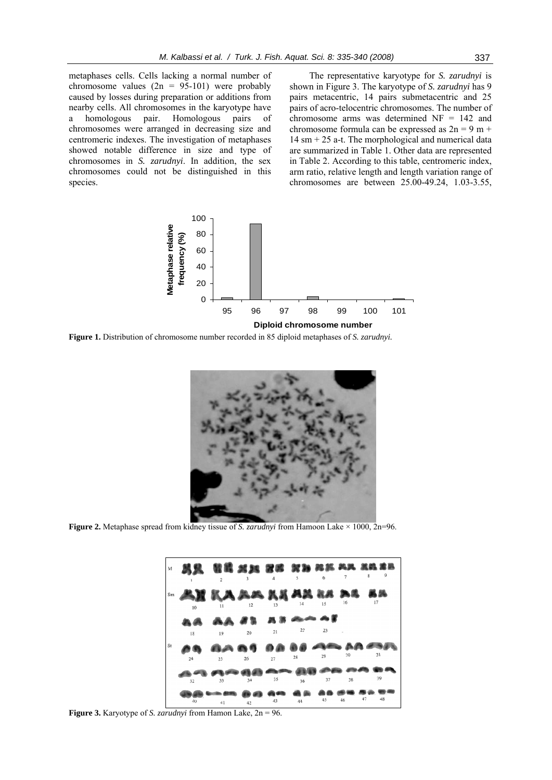metaphases cells. Cells lacking a normal number of chromosome values  $(2n = 95-101)$  were probably caused by losses during preparation or additions from nearby cells. All chromosomes in the karyotype have a homologous pair. Homologous pairs of chromosomes were arranged in decreasing size and centromeric indexes. The investigation of metaphases showed notable difference in size and type of chromosomes in *S. zarudnyi*. In addition, the sex chromosomes could not be distinguished in this species.

The representative karyotype for *S. zarudnyi* is shown in Figure 3. The karyotype of *S. zarudnyi* has 9 pairs metacentric, 14 pairs submetacentric and 25 pairs of acro-telocentric chromosomes. The number of chromosome arms was determined NF = 142 and chromosome formula can be expressed as  $2n = 9$  m +  $14 \text{ sm} + 25 \text{ a-t}$ . The morphological and numerical data are summarized in Table 1. Other data are represented in Table 2. According to this table, centromeric index, arm ratio, relative length and length variation range of chromosomes are between 25.00-49.24, 1.03-3.55,



**Figure 1.** Distribution of chromosome number recorded in 85 diploid metaphases of *S. zarudnyi.*



**Figure 2.** Metaphase spread from kidney tissue of *S. zarudnyi* from Hamoon Lake × 1000, 2n=96.



**Figure 3.** Karyotype of *S. zarudnyi* from Hamon Lake, 2n = 96.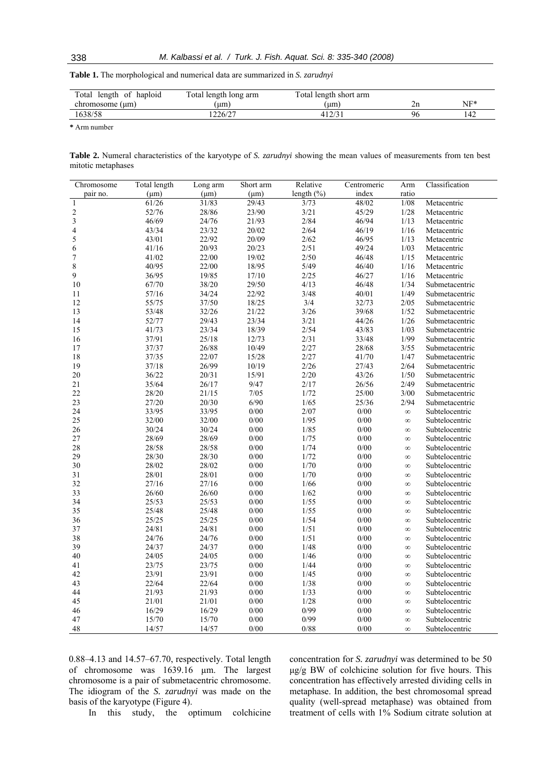**Table 1.** The morphological and numerical data are summarized in *S. zarudnyi*

| Total length of haploid | Total length long arm | Total length short arm |    |     |
|-------------------------|-----------------------|------------------------|----|-----|
| chromosome (µm)         | (um)                  | (um)                   | ∠⊔ | NF* |
| 1638/58                 | 226/27                |                        | ۹ŕ | 142 |

**\*** Arm number

| Table 2. Numeral characteristics of the karyotype of S. zarudnyi showing the mean values of measurements from ten best |  |  |  |  |  |  |
|------------------------------------------------------------------------------------------------------------------------|--|--|--|--|--|--|
| mitotic metaphases                                                                                                     |  |  |  |  |  |  |

| Chromosome              | Total length | Long arm  | Short arm | Relative       | Centromeric | Arm      | Classification |
|-------------------------|--------------|-----------|-----------|----------------|-------------|----------|----------------|
| pair no.                | $(\mu m)$    | $(\mu m)$ | $(\mu m)$ | length $(\% )$ | index       | ratio    |                |
| $\,1\,$                 | 61/26        | 31/83     | 29/43     | 3/73           | 48/02       | 1/08     | Metacentric    |
|                         | 52/76        | 28/86     | 23/90     | 3/21           | 45/29       | 1/28     | Metacentric    |
| $\frac{2}{3}$           | 46/69        | 24/76     | 21/93     | 2/84           | 46/94       | 1/13     | Metacentric    |
| $\overline{\mathbf{4}}$ | 43/34        | 23/32     | 20/02     | 2/64           | 46/19       | 1/16     | Metacentric    |
| 5                       | 43/01        | 22/92     | 20/09     | 2/62           | 46/95       | 1/13     | Metacentric    |
| 6                       | 41/16        | 20/93     | 20/23     | 2/51           | 49/24       | 1/03     | Metacentric    |
| $\sqrt{ }$              | 41/02        | 22/00     | 19/02     | 2/50           | 46/48       | 1/15     | Metacentric    |
| 8                       | 40/95        | 22/00     | 18/95     | 5/49           | 46/40       | 1/16     | Metacentric    |
| 9                       | 36/95        | 19/85     | 17/10     | 2/25           | 46/27       | 1/16     | Metacentric    |
| $10\,$                  | 67/70        | 38/20     | 29/50     | 4/13           | 46/48       | 1/34     | Submetacentric |
| $11\,$                  | 57/16        | 34/24     | 22/92     | 3/48           | 40/01       | 1/49     | Submetacentric |
| 12                      | 55/75        | 37/50     | 18/25     | 3/4            | 32/73       | 2/05     | Submetacentric |
| 13                      | 53/48        | 32/26     | 21/22     | 3/26           | 39/68       | 1/52     | Submetacentric |
| 14                      | 52/77        | 29/43     | 23/34     | 3/21           | 44/26       | 1/26     | Submetacentric |
| 15                      | 41/73        | 23/34     | 18/39     | 2/54           | 43/83       | 1/03     | Submetacentric |
| 16                      | 37/91        | 25/18     | 12/73     | 2/31           | 33/48       | 1/99     | Submetacentric |
| 17                      | 37/37        | 26/88     | 10/49     | 2/27           | 28/68       | 3/55     | Submetacentric |
| $18\,$                  | 37/35        | 22/07     | 15/28     | 2/27           | 41/70       | 1/47     | Submetacentric |
| 19                      | 37/18        | 26/99     | 10/19     | 2/26           | 27/43       | 2/64     | Submetacentric |
| $20\,$                  | 36/22        | 20/31     | 15/91     | 2/20           | 43/26       | $1/50$   | Submetacentric |
| $21\,$                  | 35/64        | 26/17     | 9/47      | 2/17           | 26/56       | 2/49     | Submetacentric |
| 22                      | 28/20        | 21/15     | 7/05      | 1/72           | 25/00       | 3/00     | Submetacentric |
| 23                      | 27/20        | 20/30     | 6/90      | 1/65           | 25/36       | 2/94     | Submetacentric |
| 24                      | 33/95        | 33/95     | 0/00      | 2/07           | $0/00$      | $\infty$ | Subtelocentric |
| 25                      | 32/00        | 32/00     | 0/00      | 1/95           | 0/00        | $\infty$ | Subtelocentric |
| $26\,$                  | 30/24        | 30/24     | 0/00      | 1/85           | $0/00$      | $\infty$ | Subtelocentric |
| 27                      | 28/69        | 28/69     | 0/00      | 1/75           | $0/00$      | $\infty$ | Subtelocentric |
| $28\,$                  | 28/58        | 28/58     | 0/00      | 1/74           | $0/00$      | $\infty$ | Subtelocentric |
| 29                      | 28/30        | 28/30     | 0/00      | 1/72           | $0/00$      | $\infty$ | Subtelocentric |
| 30                      | 28/02        | 28/02     | $0/00$    | $1/70$         | $0/00$      | $\infty$ | Subtelocentric |
| 31                      | 28/01        | 28/01     | 0/00      | $1/70$         | $0/00$      | $\infty$ | Subtelocentric |
| 32                      | 27/16        | 27/16     | 0/00      | 1/66           | 0/00        | $\infty$ | Subtelocentric |
| 33                      | 26/60        | 26/60     | $0/00$    | 1/62           | $0/00$      | $\infty$ | Subtelocentric |
| 34                      | 25/53        | 25/53     | $0/00$    | 1/55           | $0/00$      | $\infty$ | Subtelocentric |
| 35                      | 25/48        | 25/48     | 0/00      | 1/55           | $0/00$      | $\infty$ | Subtelocentric |
| 36                      | 25/25        | 25/25     | 0/00      | 1/54           | $0/00$      | $\infty$ | Subtelocentric |
| 37                      | 24/81        | 24/81     | $0/00$    | 1/51           | $0/00$      | $\infty$ | Subtelocentric |
| 38                      | 24/76        | 24/76     | $0/00$    | 1/51           | $0/00$      | $\infty$ | Subtelocentric |
| 39                      | 24/37        | 24/37     | 0/00      | 1/48           | $0/00$      | $\infty$ | Subtelocentric |
| $40\,$                  | 24/05        | 24/05     | $0/00$    | 1/46           | $0/00$      | $\infty$ | Subtelocentric |
| 41                      | 23/75        | 23/75     | $0/00$    | 1/44           | $0/00$      | $\infty$ | Subtelocentric |
| 42                      | 23/91        | 23/91     | $0/00$    | 1/45           | $0/00$      | $\infty$ | Subtelocentric |
| 43                      | 22/64        | 22/64     | $0/00$    | 1/38           | $0/00$      | $\infty$ | Subtelocentric |
| 44                      | 21/93        | 21/93     | $0/00$    | 1/33           | $0/00$      | $\infty$ | Subtelocentric |
| 45                      | 21/01        | 21/01     | 0/00      | 1/28           | $0/00$      | $\infty$ | Subtelocentric |
| 46                      | 16/29        | 16/29     | 0/00      | 0/99           | $0/00$      | $\infty$ | Subtelocentric |
| 47                      | 15/70        | 15/70     | 0/00      | 0/99           | $0/00$      | $\infty$ | Subtelocentric |
| 48                      | 14/57        | 14/57     | 0/00      | 0/88           | 0/00        | $\infty$ | Subtelocentric |

0.88–4.13 and 14.57–67.70, respectively. Total length of chromosome was 1639.16 µm. The largest chromosome is a pair of submetacentric chromosome. The idiogram of the *S. zarudnyi* was made on the basis of the karyotype (Figure 4).

concentration for *S. zarudnyi* was determined to be 50 μg/g BW of colchicine solution for five hours. This concentration has effectively arrested dividing cells in metaphase. In addition, the best chromosomal spread quality (well-spread metaphase) was obtained from treatment of cells with 1% Sodium citrate solution at

In this study, the optimum colchicine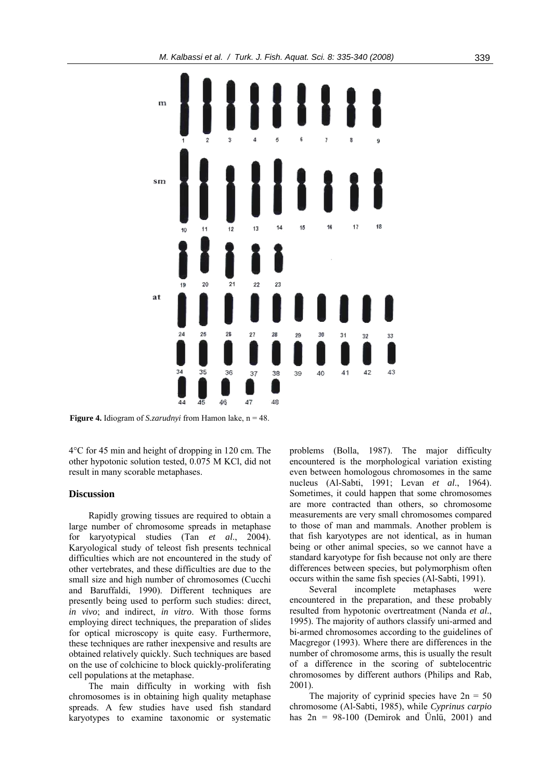

**Figure 4.** Idiogram of *S.zarudnyi* from Hamon lake, n = 48.

4°C for 45 min and height of dropping in 120 cm. The other hypotonic solution tested, 0.075 M KCl, did not result in many scorable metaphases.

# **Discussion**

Rapidly growing tissues are required to obtain a large number of chromosome spreads in metaphase for karyotypical studies (Tan *et al*., 2004). Karyological study of teleost fish presents technical difficulties which are not encountered in the study of other vertebrates, and these difficulties are due to the small size and high number of chromosomes (Cucchi and Baruffaldi, 1990). Different techniques are presently being used to perform such studies: direct, *in vivo*; and indirect, *in vitro*. With those forms employing direct techniques, the preparation of slides for optical microscopy is quite easy. Furthermore, these techniques are rather inexpensive and results are obtained relatively quickly. Such techniques are based on the use of colchicine to block quickly-proliferating cell populations at the metaphase.

The main difficulty in working with fish chromosomes is in obtaining high quality metaphase spreads. A few studies have used fish standard karyotypes to examine taxonomic or systematic problems (Bolla, 1987). The major difficulty encountered is the morphological variation existing even between homologous chromosomes in the same nucleus (Al-Sabti, 1991; Levan *et al*., 1964). Sometimes, it could happen that some chromosomes are more contracted than others, so chromosome measurements are very small chromosomes compared to those of man and mammals. Another problem is that fish karyotypes are not identical, as in human being or other animal species, so we cannot have a standard karyotype for fish because not only are there differences between species, but polymorphism often occurs within the same fish species (Al-Sabti, 1991).

Several incomplete metaphases were encountered in the preparation, and these probably resulted from hypotonic overtreatment (Nanda *et al*., 1995). The majority of authors classify uni-armed and bi-armed chromosomes according to the guidelines of Macgregor (1993). Where there are differences in the number of chromosome arms, this is usually the result of a difference in the scoring of subtelocentric chromosomes by different authors (Philips and Rab, 2001).

The majority of cyprinid species have  $2n = 50$ chromosome (Al-Sabti, 1985), while *Cyprinus carpio* has  $2n = 98-100$  (Demirok and Ünlü, 2001) and